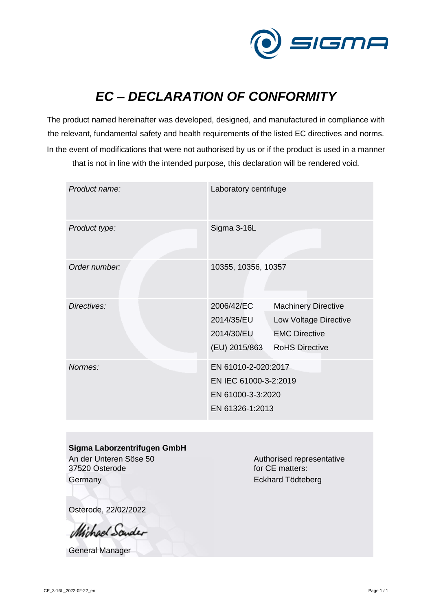

## *EC – DECLARATION OF CONFORMITY*

The product named hereinafter was developed, designed, and manufactured in compliance with the relevant, fundamental safety and health requirements of the listed EC directives and norms. In the event of modifications that were not authorised by us or if the product is used in a manner that is not in line with the intended purpose, this declaration will be rendered void.

| Product name: | Laboratory centrifuge                                                                |                                                                                                      |  |
|---------------|--------------------------------------------------------------------------------------|------------------------------------------------------------------------------------------------------|--|
| Product type: | Sigma 3-16L                                                                          |                                                                                                      |  |
| Order number: | 10355, 10356, 10357                                                                  |                                                                                                      |  |
| Directives:   | 2006/42/EC<br>2014/35/EU<br>2014/30/EU<br>(EU) 2015/863                              | <b>Machinery Directive</b><br>Low Voltage Directive<br><b>EMC Directive</b><br><b>RoHS Directive</b> |  |
| Normes:       | EN 61010-2-020:2017<br>EN IEC 61000-3-2:2019<br>EN 61000-3-3:2020<br>EN 61326-1:2013 |                                                                                                      |  |

## **Sigma Laborzentrifugen GmbH**

An der Unteren Söse 50 37520 Osterode **Germany** 

Authorised representative for CE matters: Eckhard Tödteberg

Osterode, 22/02/2022

*Michael Sounder* 

General Manager